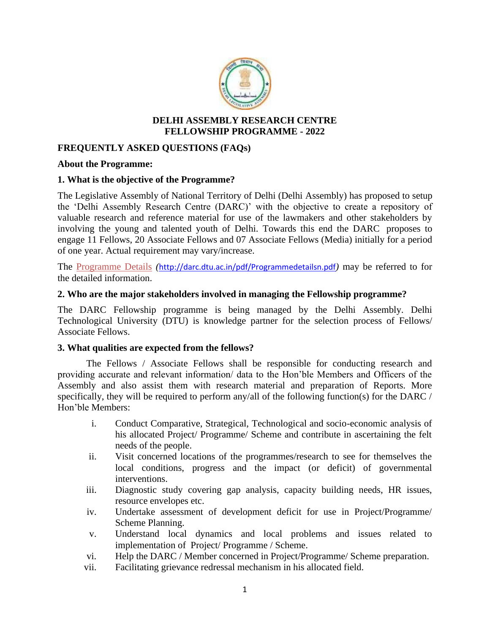

### **DELHI ASSEMBLY RESEARCH CENTRE FELLOWSHIP PROGRAMME - 2022**

# **FREQUENTLY ASKED QUESTIONS (FAQs)**

#### **About the Programme:**

### **1. What is the objective of the Programme?**

The Legislative Assembly of National Territory of Delhi (Delhi Assembly) has proposed to setup the 'Delhi Assembly Research Centre (DARC)' with the objective to create a repository of valuable research and reference material for use of the lawmakers and other stakeholders by involving the young and talented youth of Delhi. Towards this end the DARC proposes to engage 11 Fellows, 20 Associate Fellows and 07 Associate Fellows (Media) initially for a period of one year. Actual requirement may vary/increase.

The Programme Details *(*[http://darc.dtu.ac.in/pdf/Programmedetailsn.pdf](http://darc.dtu.ac.in/pdf/Programmedetails.pdf)*)* may be referred to for the detailed information.

#### **2. Who are the major stakeholders involved in managing the Fellowship programme?**

The DARC Fellowship programme is being managed by the Delhi Assembly. Delhi Technological University (DTU) is knowledge partner for the selection process of Fellows/ Associate Fellows.

### **3. What qualities are expected from the fellows?**

The Fellows / Associate Fellows shall be responsible for conducting research and providing accurate and relevant information/ data to the Hon'ble Members and Officers of the Assembly and also assist them with research material and preparation of Reports. More specifically, they will be required to perform any/all of the following function(s) for the DARC / Hon'ble Members:

- i. Conduct Comparative, Strategical, Technological and socio-economic analysis of his allocated Project/ Programme/ Scheme and contribute in ascertaining the felt needs of the people.
- ii. Visit concerned locations of the programmes/research to see for themselves the local conditions, progress and the impact (or deficit) of governmental interventions.
- iii. Diagnostic study covering gap analysis, capacity building needs, HR issues, resource envelopes etc.
- iv. Undertake assessment of development deficit for use in Project/Programme/ Scheme Planning.
- v. Understand local dynamics and local problems and issues related to implementation of Project/ Programme / Scheme.
- vi. Help the DARC / Member concerned in Project/Programme/ Scheme preparation.
- vii. Facilitating grievance redressal mechanism in his allocated field.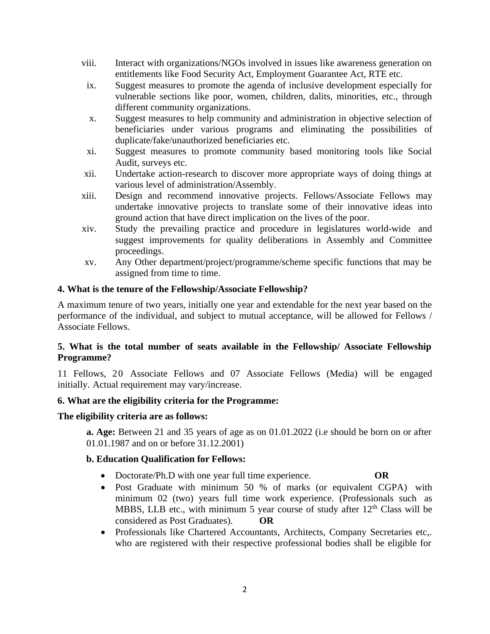- viii. Interact with organizations/NGOs involved in issues like awareness generation on entitlements like Food Security Act, Employment Guarantee Act, RTE etc.
- ix. Suggest measures to promote the agenda of inclusive development especially for vulnerable sections like poor, women, children, dalits, minorities, etc., through different community organizations.
- x. Suggest measures to help community and administration in objective selection of beneficiaries under various programs and eliminating the possibilities of duplicate/fake/unauthorized beneficiaries etc.
- xi. Suggest measures to promote community based monitoring tools like Social Audit, surveys etc.
- xii. Undertake action-research to discover more appropriate ways of doing things at various level of administration/Assembly.
- xiii. Design and recommend innovative projects. Fellows/Associate Fellows may undertake innovative projects to translate some of their innovative ideas into ground action that have direct implication on the lives of the poor.
- xiv. Study the prevailing practice and procedure in legislatures world-wide and suggest improvements for quality deliberations in Assembly and Committee proceedings.
- xv. Any Other department/project/programme/scheme specific functions that may be assigned from time to time.

# **4. What is the tenure of the Fellowship/Associate Fellowship?**

A maximum tenure of two years, initially one year and extendable for the next year based on the performance of the individual, and subject to mutual acceptance, will be allowed for Fellows / Associate Fellows.

# **5. What is the total number of seats available in the Fellowship/ Associate Fellowship Programme?**

11 Fellows, 20 Associate Fellows and 07 Associate Fellows (Media) will be engaged initially. Actual requirement may vary/increase.

### **6. What are the eligibility criteria for the Programme:**

### **The eligibility criteria are as follows:**

**a. Age:** Between 21 and 35 years of age as on 01.01.2022 (i.e should be born on or after 01.01.1987 and on or before 31.12.2001)

### **b. Education Qualification for Fellows:**

- Doctorate/Ph.D with one year full time experience. **OR**
- Post Graduate with minimum 50 % of marks (or equivalent CGPA) with minimum 02 (two) years full time work experience. (Professionals such as MBBS, LLB etc., with minimum 5 year course of study after 12<sup>th</sup> Class will be considered as Post Graduates). **OR**
- Professionals like Chartered Accountants, Architects, Company Secretaries etc,. who are registered with their respective professional bodies shall be eligible for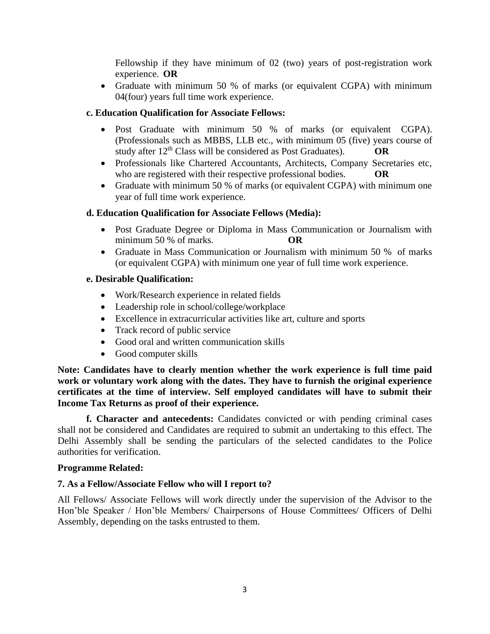Fellowship if they have minimum of 02 (two) years of post-registration work experience. **OR**

• Graduate with minimum 50 % of marks (or equivalent CGPA) with minimum 04(four) years full time work experience.

# **c. Education Qualification for Associate Fellows:**

- Post Graduate with minimum 50 % of marks (or equivalent CGPA). (Professionals such as MBBS, LLB etc., with minimum 05 (five) years course of study after 12th Class will be considered as Post Graduates). **OR**
- Professionals like Chartered Accountants, Architects, Company Secretaries etc, who are registered with their respective professional bodies. **OR**
- Graduate with minimum 50 % of marks (or equivalent CGPA) with minimum one year of full time work experience.

# **d. Education Qualification for Associate Fellows (Media):**

- Post Graduate Degree or Diploma in Mass Communication or Journalism with minimum 50 % of marks. **OR**
- Graduate in Mass Communication or Journalism with minimum 50 % of marks (or equivalent CGPA) with minimum one year of full time work experience.

### **e. Desirable Qualification:**

- Work/Research experience in related fields
- Leadership role in school/college/workplace
- Excellence in extracurricular activities like art, culture and sports
- Track record of public service
- Good oral and written communication skills
- Good computer skills

**Note: Candidates have to clearly mention whether the work experience is full time paid work or voluntary work along with the dates. They have to furnish the original experience certificates at the time of interview. Self employed candidates will have to submit their Income Tax Returns as proof of their experience.**

**f. Character and antecedents:** Candidates convicted or with pending criminal cases shall not be considered and Candidates are required to submit an undertaking to this effect. The Delhi Assembly shall be sending the particulars of the selected candidates to the Police authorities for verification.

### **Programme Related:**

# **7. As a Fellow/Associate Fellow who will I report to?**

All Fellows/ Associate Fellows will work directly under the supervision of the Advisor to the Hon'ble Speaker / Hon'ble Members/ Chairpersons of House Committees/ Officers of Delhi Assembly, depending on the tasks entrusted to them.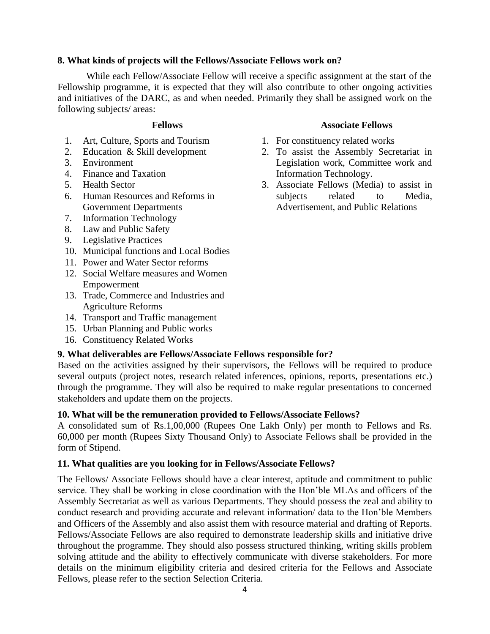# **8. What kinds of projects will the Fellows/Associate Fellows work on?**

While each Fellow/Associate Fellow will receive a specific assignment at the start of the Fellowship programme, it is expected that they will also contribute to other ongoing activities and initiatives of the DARC, as and when needed. Primarily they shall be assigned work on the following subjects/ areas:

- 1. Art, Culture, Sports and Tourism
- 2. Education & Skill development
- 3. Environment
- 4. Finance and Taxation
- 5. Health Sector
- 6. Human Resources and Reforms in Government Departments
- 7. Information Technology
- 8. Law and Public Safety
- 9. Legislative Practices
- 10. Municipal functions and Local Bodies
- 11. Power and Water Sector reforms
- 12. Social Welfare measures and Women Empowerment
- 13. Trade, Commerce and Industries and Agriculture Reforms
- 14. Transport and Traffic management
- 15. Urban Planning and Public works
- 16. Constituency Related Works

### **9. What deliverables are Fellows/Associate Fellows responsible for?**

Based on the activities assigned by their supervisors, the Fellows will be required to produce several outputs (project notes, research related inferences, opinions, reports, presentations etc.) through the programme. They will also be required to make regular presentations to concerned stakeholders and update them on the projects.

### **10. What will be the remuneration provided to Fellows/Associate Fellows?**

A consolidated sum of Rs.1,00,000 (Rupees One Lakh Only) per month to Fellows and Rs. 60,000 per month (Rupees Sixty Thousand Only) to Associate Fellows shall be provided in the form of Stipend.

### **11. What qualities are you looking for in Fellows/Associate Fellows?**

The Fellows/ Associate Fellows should have a clear interest, aptitude and commitment to public service. They shall be working in close coordination with the Hon'ble MLAs and officers of the Assembly Secretariat as well as various Departments. They should possess the zeal and ability to conduct research and providing accurate and relevant information/ data to the Hon'ble Members and Officers of the Assembly and also assist them with resource material and drafting of Reports. Fellows/Associate Fellows are also required to demonstrate leadership skills and initiative drive throughout the programme. They should also possess structured thinking, writing skills problem solving attitude and the ability to effectively communicate with diverse stakeholders. For more details on the minimum eligibility criteria and desired criteria for the Fellows and Associate Fellows, please refer to the section Selection Criteria.

# **Fellows Associate Fellows**

- 1. For constituency related works
- 2. To assist the Assembly Secretariat in Legislation work, Committee work and Information Technology.
- 3. Associate Fellows (Media) to assist in subjects related to Media, Advertisement, and Public Relations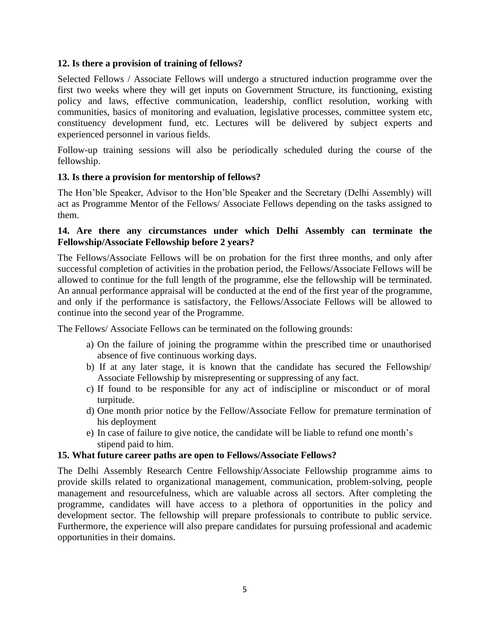# **12. Is there a provision of training of fellows?**

Selected Fellows / Associate Fellows will undergo a structured induction programme over the first two weeks where they will get inputs on Government Structure, its functioning, existing policy and laws, effective communication, leadership, conflict resolution, working with communities, basics of monitoring and evaluation, legislative processes, committee system etc, constituency development fund, etc. Lectures will be delivered by subject experts and experienced personnel in various fields.

Follow-up training sessions will also be periodically scheduled during the course of the fellowship.

# **13. Is there a provision for mentorship of fellows?**

The Hon'ble Speaker, Advisor to the Hon'ble Speaker and the Secretary (Delhi Assembly) will act as Programme Mentor of the Fellows/ Associate Fellows depending on the tasks assigned to them.

# **14. Are there any circumstances under which Delhi Assembly can terminate the Fellowship/Associate Fellowship before 2 years?**

The Fellows/Associate Fellows will be on probation for the first three months, and only after successful completion of activities in the probation period, the Fellows/Associate Fellows will be allowed to continue for the full length of the programme, else the fellowship will be terminated. An annual performance appraisal will be conducted at the end of the first year of the programme, and only if the performance is satisfactory, the Fellows/Associate Fellows will be allowed to continue into the second year of the Programme.

The Fellows/ Associate Fellows can be terminated on the following grounds:

- a) On the failure of joining the programme within the prescribed time or unauthorised absence of five continuous working days.
- b) If at any later stage, it is known that the candidate has secured the Fellowship/ Associate Fellowship by misrepresenting or suppressing of any fact.
- c) If found to be responsible for any act of indiscipline or misconduct or of moral turpitude.
- d) One month prior notice by the Fellow/Associate Fellow for premature termination of his deployment
- e) In case of failure to give notice, the candidate will be liable to refund one month's stipend paid to him.

# **15. What future career paths are open to Fellows/Associate Fellows?**

The Delhi Assembly Research Centre Fellowship/Associate Fellowship programme aims to provide skills related to organizational management, communication, problem-solving, people management and resourcefulness, which are valuable across all sectors. After completing the programme, candidates will have access to a plethora of opportunities in the policy and development sector. The fellowship will prepare professionals to contribute to public service. Furthermore, the experience will also prepare candidates for pursuing professional and academic opportunities in their domains.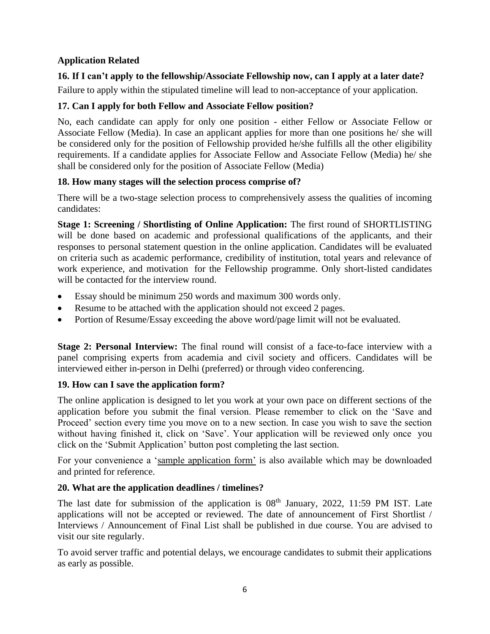# **Application Related**

# **16. If I can't apply to the fellowship/Associate Fellowship now, can I apply at a later date?**

Failure to apply within the stipulated timeline will lead to non-acceptance of your application.

# **17. Can I apply for both Fellow and Associate Fellow position?**

No, each candidate can apply for only one position - either Fellow or Associate Fellow or Associate Fellow (Media). In case an applicant applies for more than one positions he/ she will be considered only for the position of Fellowship provided he/she fulfills all the other eligibility requirements. If a candidate applies for Associate Fellow and Associate Fellow (Media) he/ she shall be considered only for the position of Associate Fellow (Media)

# **18. How many stages will the selection process comprise of?**

There will be a two-stage selection process to comprehensively assess the qualities of incoming candidates:

**Stage 1: Screening / Shortlisting of Online Application:** The first round of SHORTLISTING will be done based on academic and professional qualifications of the applicants, and their responses to personal statement question in the online application. Candidates will be evaluated on criteria such as academic performance, credibility of institution, total years and relevance of work experience, and motivation for the Fellowship programme. Only short-listed candidates will be contacted for the interview round.

- Essay should be minimum 250 words and maximum 300 words only.
- Resume to be attached with the application should not exceed 2 pages.
- Portion of Resume/Essay exceeding the above word/page limit will not be evaluated.

**Stage 2: Personal Interview:** The final round will consist of a face-to-face interview with a panel comprising experts from academia and civil society and officers. Candidates will be interviewed either in-person in Delhi (preferred) or through video conferencing.

# **19. How can I save the application form?**

The online application is designed to let you work at your own pace on different sections of the application before you submit the final version. Please remember to click on the 'Save and Proceed' section every time you move on to a new section. In case you wish to save the section without having finished it, click on 'Save'. Your application will be reviewed only once you click on the 'Submit Application' button post completing the last section.

For your convenience a 'sample application form' is also available which may be downloaded and printed for reference.

# **20. What are the application deadlines / timelines?**

The last date for submission of the application is  $08<sup>th</sup>$  January, 2022, 11:59 PM IST. Late applications will not be accepted or reviewed. The date of announcement of First Shortlist / Interviews / Announcement of Final List shall be published in due course. You are advised to visit our site regularly.

To avoid server traffic and potential delays, we encourage candidates to submit their applications as early as possible.